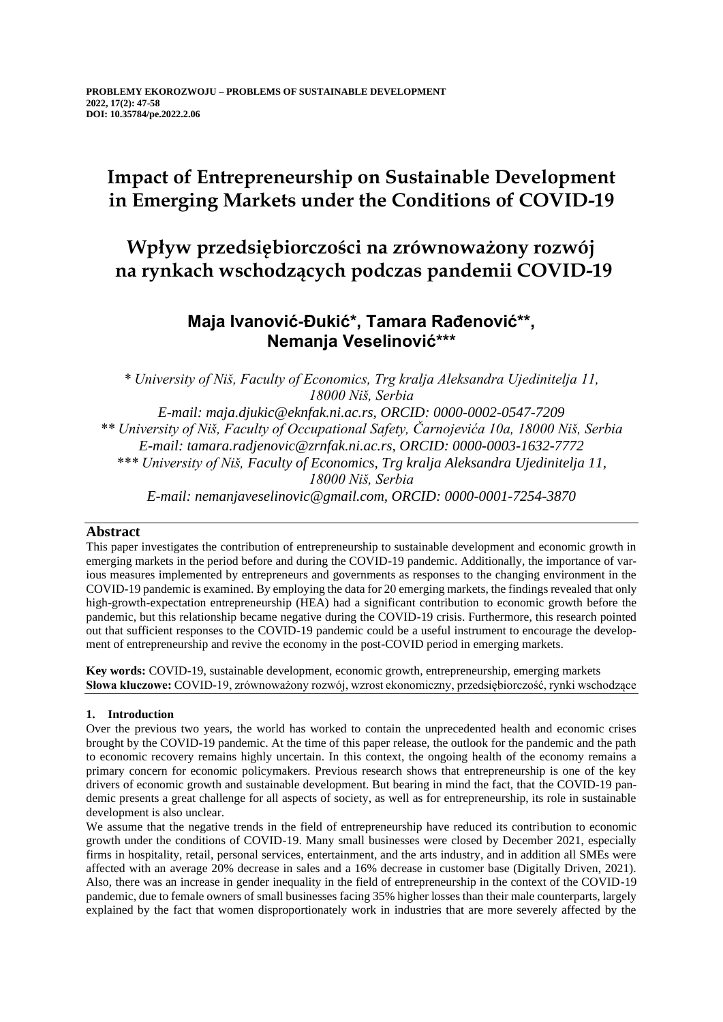# **Impact of Entrepreneurship on Sustainable Development in Emerging Markets under the Conditions of COVID-19**

## **Wpływ przedsiębiorczości na zrównoważony rozwój na rynkach wschodzących podczas pandemii COVID-19**

## **Maja Ivanović-Đukić\*, Tamara Rađenović\*\*, Nemanja Veselinović\*\*\***

*\* University of Niš, Faculty of Economics, Trg kralja Aleksandra Ujedinitelja 11, 18000 Niš, Serbia E-mail: maja.djukic@eknfak.ni.ac.rs, ORCID: 0000-0002-0547-7209 \*\* University of Niš, Faculty of Occupational Safety, Čarnojevića 10a, 18000 Niš, Serbia E-mail: tamara.radjenovic@zrnfak.ni.ac.rs, ORCID: 0000-0003-1632-7772 \*\*\* University of Niš, Faculty of Economics, Trg kralja Aleksandra Ujedinitelja 11, 18000 Niš, Serbia E-mail: nemanjaveselinovic@gmail.com, ORCID: 0000-0001-7254-3870*

### **Abstract**

This paper investigates the contribution of entrepreneurship to sustainable development and economic growth in emerging markets in the period before and during the COVID-19 pandemic. Additionally, the importance of various measures implemented by entrepreneurs and governments as responses to the changing environment in the COVID-19 pandemic is examined. By employing the data for 20 emerging markets, the findings revealed that only high-growth-expectation entrepreneurship (HEA) had a significant contribution to economic growth before the pandemic, but this relationship became negative during the COVID-19 crisis. Furthermore, this research pointed out that sufficient responses to the COVID-19 pandemic could be a useful instrument to encourage the development of entrepreneurship and revive the economy in the post-COVID period in emerging markets.

**Key words:** COVID-19, sustainable development, economic growth, entrepreneurship, emerging markets **Słowa kluczowe:** COVID-19, zrównoważony rozwój, wzrost ekonomiczny, przedsiębiorczość, rynki wschodzące

### **1. Introduction**

Over the previous two years, the world has worked to contain the unprecedented health and economic crises brought by the COVID-19 pandemic. At the time of this paper release, the outlook for the pandemic and the path to economic recovery remains highly uncertain. In this context, the ongoing health of the economy remains a primary concern for economic policymakers. Previous research shows that entrepreneurship is one of the key drivers of economic growth and sustainable development. But bearing in mind the fact, that the COVID-19 pandemic presents a great challenge for all aspects of society, as well as for entrepreneurship, its role in sustainable development is also unclear.

We assume that the negative trends in the field of entrepreneurship have reduced its contribution to economic growth under the conditions of COVID-19. Many small businesses were closed by December 2021, especially firms in hospitality, retail, personal services, entertainment, and the arts industry, and in addition all SMEs were affected with an average 20% decrease in sales and a 16% decrease in customer base (Digitally Driven, 2021). Also, there was an increase in gender inequality in the field of entrepreneurship in the context of the COVID-19 pandemic, due to female owners of small businesses facing 35% higher losses than their male counterparts, largely explained by the fact that women disproportionately work in industries that are more severely affected by the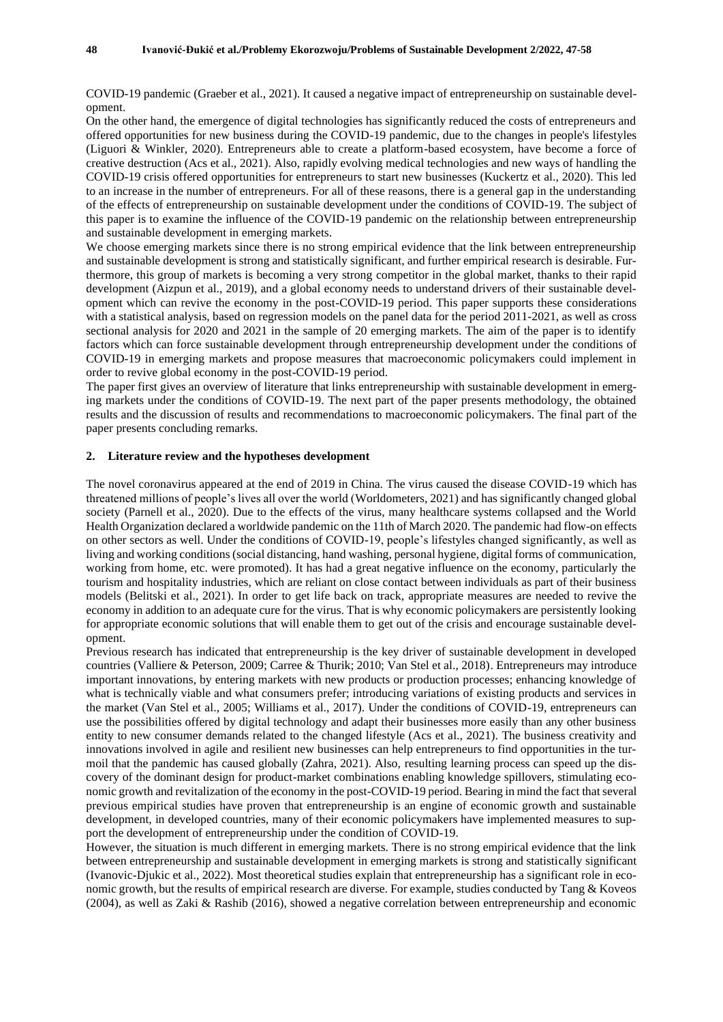COVID-19 pandemic (Graeber et al., 2021). It caused a negative impact of entrepreneurship on sustainable development.

On the other hand, the emergence of digital technologies has significantly reduced the costs of entrepreneurs and offered opportunities for new business during the COVID-19 pandemic, due to the changes in people's lifestyles (Liguori & Winkler, 2020). Entrepreneurs able to create a platform-based ecosystem, have become a force of creative destruction (Acs et al., 2021). Also, rapidly evolving medical technologies and new ways of handling the COVID-19 crisis offered opportunities for entrepreneurs to start new businesses (Kuckertz et al., 2020). This led to an increase in the number of entrepreneurs. For all of these reasons, there is a general gap in the understanding of the effects of entrepreneurship on sustainable development under the conditions of COVID-19. The subject of this paper is to examine the influence of the COVID-19 pandemic on the relationship between entrepreneurship and sustainable development in emerging markets.

We choose emerging markets since there is no strong empirical evidence that the link between entrepreneurship and sustainable development is strong and statistically significant, and further empirical research is desirable. Furthermore, this group of markets is becoming a very strong competitor in the global market, thanks to their rapid development (Aizpun et al., 2019), and a global economy needs to understand drivers of their sustainable development which can revive the economy in the post-COVID-19 period. This paper supports these considerations with a statistical analysis, based on regression models on the panel data for the period 2011-2021, as well as cross sectional analysis for 2020 and 2021 in the sample of 20 emerging markets. The aim of the paper is to identify factors which can force sustainable development through entrepreneurship development under the conditions of COVID-19 in emerging markets and propose measures that macroeconomic policymakers could implement in order to revive global economy in the post-COVID-19 period.

The paper first gives an overview of literature that links entrepreneurship with sustainable development in emerging markets under the conditions of COVID-19. The next part of the paper presents methodology, the obtained results and the discussion of results and recommendations to macroeconomic policymakers. The final part of the paper presents concluding remarks.

#### **2. Literature review and the hypotheses development**

The novel coronavirus appeared at the end of 2019 in China. The virus caused the disease COVID-19 which has threatened millions of people's lives all over the world (Worldometers, 2021) and has significantly changed global society (Parnell et al., 2020). Due to the effects of the virus, many healthcare systems collapsed and the World Health Organization declared a worldwide pandemic on the 11th of March 2020. The pandemic had flow-on effects on other sectors as well. Under the conditions of COVID-19, people's lifestyles changed significantly, as well as living and working conditions (social distancing, hand washing, personal hygiene, digital forms of communication, working from home, etc. were promoted). It has had a great negative influence on the economy, particularly the tourism and hospitality industries, which are reliant on close contact between individuals as part of their business models (Belitski et al., 2021). In order to get life back on track, appropriate measures are needed to revive the economy in addition to an adequate cure for the virus. That is why economic policymakers are persistently looking for appropriate economic solutions that will enable them to get out of the crisis and encourage sustainable development.

Previous research has indicated that entrepreneurship is the key driver of sustainable development in developed countries (Valliere & Peterson, 2009; Carree & Thurik; 2010; Van Stel et al., 2018). Entrepreneurs may introduce important innovations, by entering markets with new products or production processes; enhancing knowledge of what is technically viable and what consumers prefer; introducing variations of existing products and services in the market (Van Stel et al., 2005; Williams et al., 2017). Under the conditions of COVID-19, entrepreneurs can use the possibilities offered by digital technology and adapt their businesses more easily than any other business entity to new consumer demands related to the changed lifestyle (Acs et al., 2021). The business creativity and innovations involved in agile and resilient new businesses can help entrepreneurs to find opportunities in the turmoil that the pandemic has caused globally (Zahra, 2021). Also, resulting learning process can speed up the discovery of the dominant design for product-market combinations enabling knowledge spillovers, stimulating economic growth and revitalization of the economy in the post-COVID-19 period. Bearing in mind the fact that several previous empirical studies have proven that entrepreneurship is an engine of economic growth and sustainable development, in developed countries, many of their economic policymakers have implemented measures to support the development of entrepreneurship under the condition of COVID-19.

However, the situation is much different in emerging markets. There is no strong empirical evidence that the link between entrepreneurship and sustainable development in emerging markets is strong and statistically significant (Ivanovic-Djukic et al., 2022). Most theoretical studies explain that entrepreneurship has a significant role in economic growth, but the results of empirical research are diverse. For example, studies conducted by Tang & Koveos (2004), as well as Zaki & Rashib (2016), showed a negative correlation between entrepreneurship and economic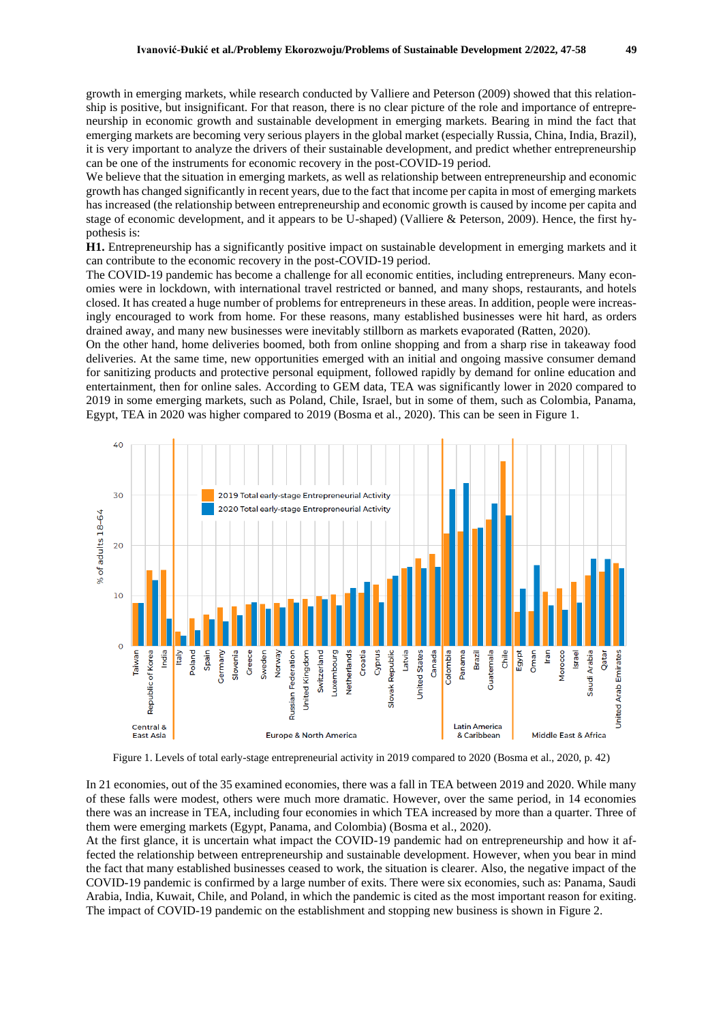growth in emerging markets, while research conducted by Valliere and Peterson (2009) showed that this relationship is positive, but insignificant. For that reason, there is no clear picture of the role and importance of entrepreneurship in economic growth and sustainable development in emerging markets. Bearing in mind the fact that emerging markets are becoming very serious players in the global market (especially Russia, China, India, Brazil), it is very important to analyze the drivers of their sustainable development, and predict whether entrepreneurship can be one of the instruments for economic recovery in the post-COVID-19 period.

We believe that the situation in emerging markets, as well as relationship between entrepreneurship and economic growth has changed significantly in recent years, due to the fact that income per capita in most of emerging markets has increased (the relationship between entrepreneurship and economic growth is caused by income per capita and stage of economic development, and it appears to be U-shaped) (Valliere & Peterson, 2009). Hence, the first hypothesis is:

**H1.** Entrepreneurship has a significantly positive impact on sustainable development in emerging markets and it can contribute to the economic recovery in the post-COVID-19 period.

The COVID-19 pandemic has become a challenge for all economic entities, including entrepreneurs. Many economies were in lockdown, with international travel restricted or banned, and many shops, restaurants, and hotels closed. It has created a huge number of problems for entrepreneurs in these areas. In addition, people were increasingly encouraged to work from home. For these reasons, many established businesses were hit hard, as orders drained away, and many new businesses were inevitably stillborn as markets evaporated (Ratten, 2020).

On the other hand, home deliveries boomed, both from online shopping and from a sharp rise in takeaway food deliveries. At the same time, new opportunities emerged with an initial and ongoing massive consumer demand for sanitizing products and protective personal equipment, followed rapidly by demand for online education and entertainment, then for online sales. According to GEM data, TEA was significantly lower in 2020 compared to 2019 in some emerging markets, such as Poland, Chile, Israel, but in some of them, such as Colombia, Panama, Egypt, TEA in 2020 was higher compared to 2019 (Bosma et al., 2020). This can be seen in Figure 1.



Figure 1. Levels of total early-stage entrepreneurial activity in 2019 compared to 2020 (Bosma et al., 2020, p. 42)

In 21 economies, out of the 35 examined economies, there was a fall in TEA between 2019 and 2020. While many of these falls were modest, others were much more dramatic. However, over the same period, in 14 economies there was an increase in TEA, including four economies in which TEA increased by more than a quarter. Three of them were emerging markets (Egypt, Panama, and Colombia) (Bosma et al., 2020).

At the first glance, it is uncertain what impact the COVID-19 pandemic had on entrepreneurship and how it affected the relationship between entrepreneurship and sustainable development. However, when you bear in mind the fact that many established businesses ceased to work, the situation is clearer. Also, the negative impact of the COVID-19 pandemic is confirmed by a large number of exits. There were six economies, such as: Panama, Saudi Arabia, India, Kuwait, Chile, and Poland, in which the pandemic is cited as the most important reason for exiting. The impact of COVID-19 pandemic on the establishment and stopping new business is shown in Figure 2.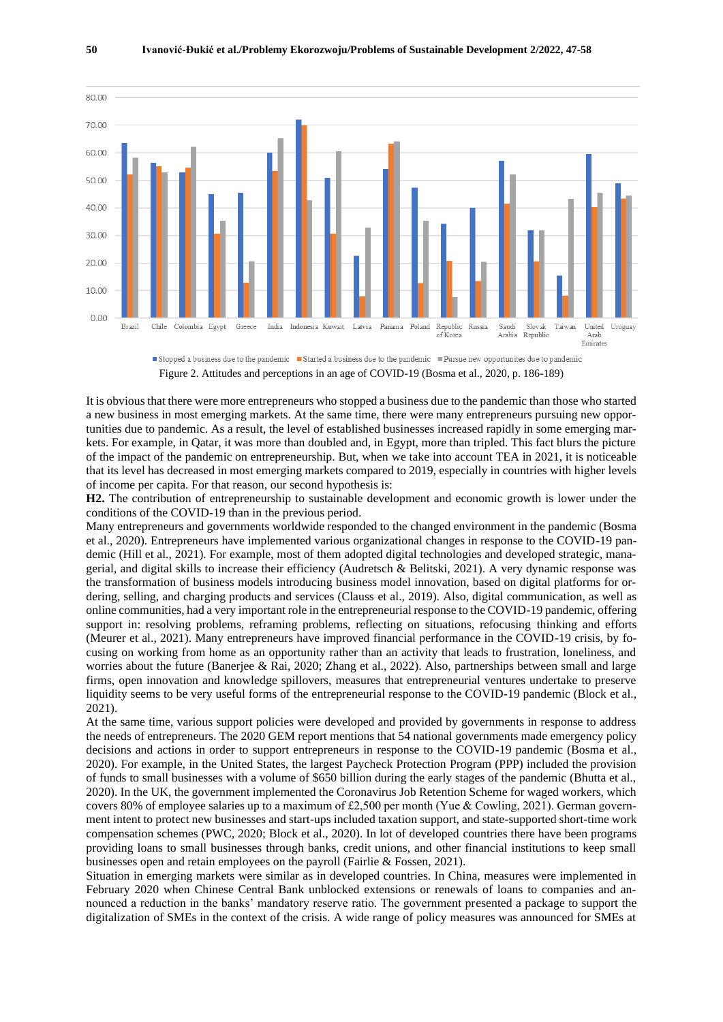■ Stopped a business due to the pandemic ■ Started a business due to the pandemic ■ Pursue new opportunites due to pandemic Figure 2. Attitudes and perceptions in an age of COVID-19 (Bosma et al., 2020, p. 186-189)

It is obvious that there were more entrepreneurs who stopped a business due to the pandemic than those who started a new business in most emerging markets. At the same time, there were many entrepreneurs pursuing new opportunities due to pandemic. As a result, the level of established businesses increased rapidly in some emerging markets. For example, in Qatar, it was more than doubled and, in Egypt, more than tripled. This fact blurs the picture of the impact of the pandemic on entrepreneurship. But, when we take into account TEA in 2021, it is noticeable that its level has decreased in most emerging markets compared to 2019, especially in countries with higher levels of income per capita. For that reason, our second hypothesis is:

**H2.** The contribution of entrepreneurship to sustainable development and economic growth is lower under the conditions of the COVID-19 than in the previous period.

Many entrepreneurs and governments worldwide responded to the changed environment in the pandemic (Bosma et al., 2020). Entrepreneurs have implemented various organizational changes in response to the COVID-19 pandemic (Hill et al., 2021). For example, most of them adopted digital technologies and developed strategic, managerial, and digital skills to increase their efficiency (Audretsch & Belitski, 2021). A very dynamic response was the transformation of business models introducing business model innovation, based on digital platforms for ordering, selling, and charging products and services (Clauss et al., 2019). Also, digital communication, as well as online communities, had a very important role in the entrepreneurial response to the COVID-19 pandemic, offering support in: resolving problems, reframing problems, reflecting on situations, refocusing thinking and efforts (Meurer et al., 2021). Many entrepreneurs have improved financial performance in the COVID-19 crisis, by focusing on working from home as an opportunity rather than an activity that leads to frustration, loneliness, and worries about the future (Banerjee & Rai, 2020; Zhang et al., 2022). Also, partnerships between small and large firms, open innovation and knowledge spillovers, measures that entrepreneurial ventures undertake to preserve liquidity seems to be very useful forms of the entrepreneurial response to the COVID-19 pandemic (Block et al., 2021).

At the same time, various support policies were developed and provided by governments in response to address the needs of entrepreneurs. The 2020 GEM report mentions that 54 national governments made emergency policy decisions and actions in order to support entrepreneurs in response to the COVID-19 pandemic (Bosma et al., 2020). For example, in the United States, the largest Paycheck Protection Program (PPP) included the provision of funds to small businesses with a volume of \$650 billion during the early stages of the pandemic (Bhutta et al., 2020). In the UK, the government implemented the Coronavirus Job Retention Scheme for waged workers, which covers 80% of employee salaries up to a maximum of £2,500 per month (Yue & Cowling, 2021). German government intent to protect new businesses and start-ups included taxation support, and state-supported short-time work compensation schemes (PWC, 2020; Block et al., 2020). In lot of developed countries there have been programs providing loans to small businesses through banks, credit unions, and other financial institutions to keep small businesses open and retain employees on the payroll (Fairlie & Fossen, 2021).

Situation in emerging markets were similar as in developed countries. In China, measures were implemented in February 2020 when Chinese Central Bank unblocked extensions or renewals of loans to companies and announced a reduction in the banks' mandatory reserve ratio. The government presented a package to support the digitalization of SMEs in the context of the crisis. A wide range of policy measures was announced for SMEs at

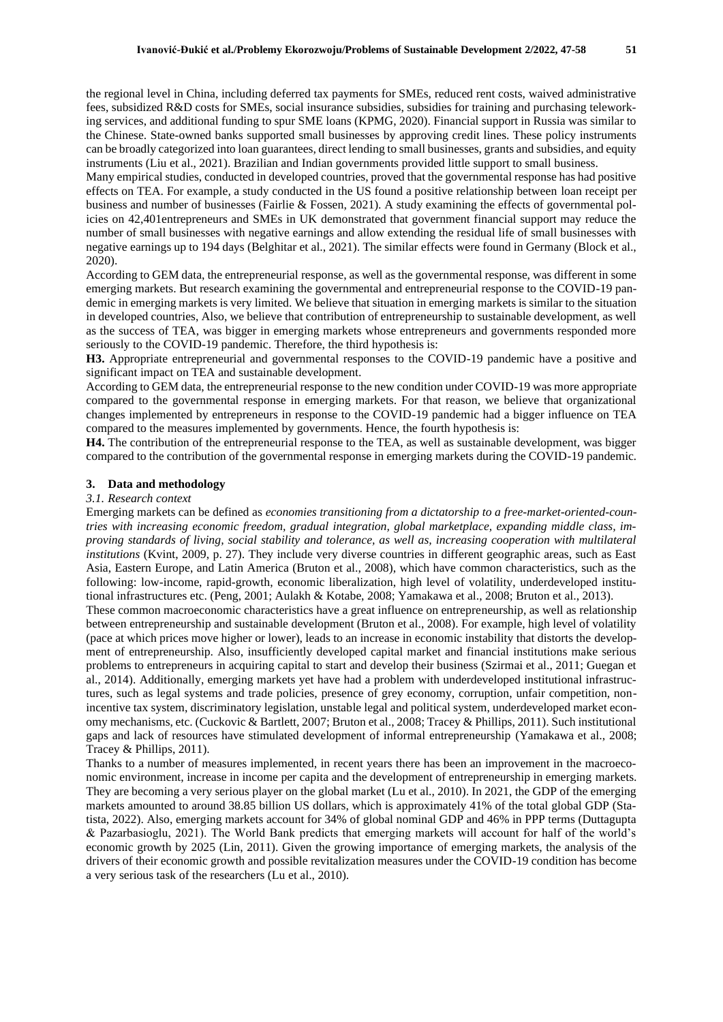the regional level in China, including deferred tax payments for SMEs, reduced rent costs, waived administrative fees, subsidized R&D costs for SMEs, social insurance subsidies, subsidies for training and purchasing teleworking services, and additional funding to spur SME loans (KPMG, 2020). Financial support in Russia was similar to the Chinese. State-owned banks supported small businesses by approving credit lines. These policy instruments can be broadly categorized into loan guarantees, direct lending to small businesses, grants and subsidies, and equity instruments (Liu et al., 2021). Brazilian and Indian governments provided little support to small business.

Many empirical studies, conducted in developed countries, proved that the governmental response has had positive effects on TEA. For example, a study conducted in the US found a positive relationship between loan receipt per business and number of businesses (Fairlie & Fossen, 2021). A study examining the effects of governmental policies on 42,401entrepreneurs and SMEs in UK demonstrated that government financial support may reduce the number of small businesses with negative earnings and allow extending the residual life of small businesses with negative earnings up to 194 days (Belghitar et al., 2021). The similar effects were found in Germany (Block et al., 2020).

According to GEM data, the entrepreneurial response, as well as the governmental response, was different in some emerging markets. But research examining the governmental and entrepreneurial response to the COVID-19 pandemic in emerging markets is very limited. We believe that situation in emerging markets is similar to the situation in developed countries, Also, we believe that contribution of entrepreneurship to sustainable development, as well as the success of TEA, was bigger in emerging markets whose entrepreneurs and governments responded more seriously to the COVID-19 pandemic. Therefore, the third hypothesis is:

**H3.** Appropriate entrepreneurial and governmental responses to the COVID-19 pandemic have a positive and significant impact on TEA and sustainable development.

According to GEM data, the entrepreneurial response to the new condition under COVID-19 was more appropriate compared to the governmental response in emerging markets. For that reason, we believe that organizational changes implemented by entrepreneurs in response to the COVID-19 pandemic had a bigger influence on TEA compared to the measures implemented by governments. Hence, the fourth hypothesis is:

**H4.** The contribution of the entrepreneurial response to the TEA, as well as sustainable development, was bigger compared to the contribution of the governmental response in emerging markets during the COVID-19 pandemic*.*

#### **3. Data and methodology**

#### *3.1. Research context*

Emerging markets can be defined as *economies transitioning from a dictatorship to a free-market-oriented-countries with increasing economic freedom, gradual integration, global marketplace, expanding middle class, improving standards of living, social stability and tolerance, as well as, increasing cooperation with multilateral institutions* (Kvint, 2009, p. 27). They include very diverse countries in different geographic areas, such as East Asia, Eastern Europe, and Latin America (Bruton et al., 2008), which have common characteristics, such as the following: low-income, rapid-growth, economic liberalization, high level of volatility, underdeveloped institutional infrastructures etc. (Peng, 2001; Aulakh & Kotabe, 2008; Yamakawa et al., 2008; Bruton et al., 2013).

These common macroeconomic characteristics have a great influence on entrepreneurship, as well as relationship between entrepreneurship and sustainable development (Bruton et al., 2008). For example, high level of volatility (pace at which prices move higher or lower), leads to an increase in economic instability that distorts the development of entrepreneurship. Also, insufficiently developed capital market and financial institutions make serious problems to entrepreneurs in acquiring capital to start and develop their business (Szirmai et al., 2011; Guegan et al., 2014). Additionally, emerging markets yet have had a problem with underdeveloped institutional infrastructures, such as legal systems and trade policies, presence of grey economy, corruption, unfair competition, nonincentive tax system, discriminatory legislation, unstable legal and political system, underdeveloped market economy mechanisms, etc. (Cuckovic & Bartlett, 2007; Bruton et al., 2008; Tracey & Phillips, 2011). Such institutional gaps and lack of resources have stimulated development of informal entrepreneurship (Yamakawa et al., 2008; Tracey & Phillips, 2011).

Thanks to a number of measures implemented, in recent years there has been an improvement in the macroeconomic environment, increase in income per capita and the development of entrepreneurship in emerging markets. They are becoming a very serious player on the global market (Lu et al., 2010). In 2021, the GDP of the emerging markets amounted to around 38.85 billion US dollars, which is approximately 41% of the total global GDP (Statista, 2022). Also, emerging markets account for 34% of global nominal GDP and 46% in PPP terms (Duttagupta & Pazarbasioglu, 2021). The World Bank predicts that emerging markets will account for half of the world's economic growth by 2025 (Lin, 2011). Given the growing importance of emerging markets, the analysis of the drivers of their economic growth and possible revitalization measures under the COVID-19 condition has become a very serious task of the researchers (Lu et al., 2010).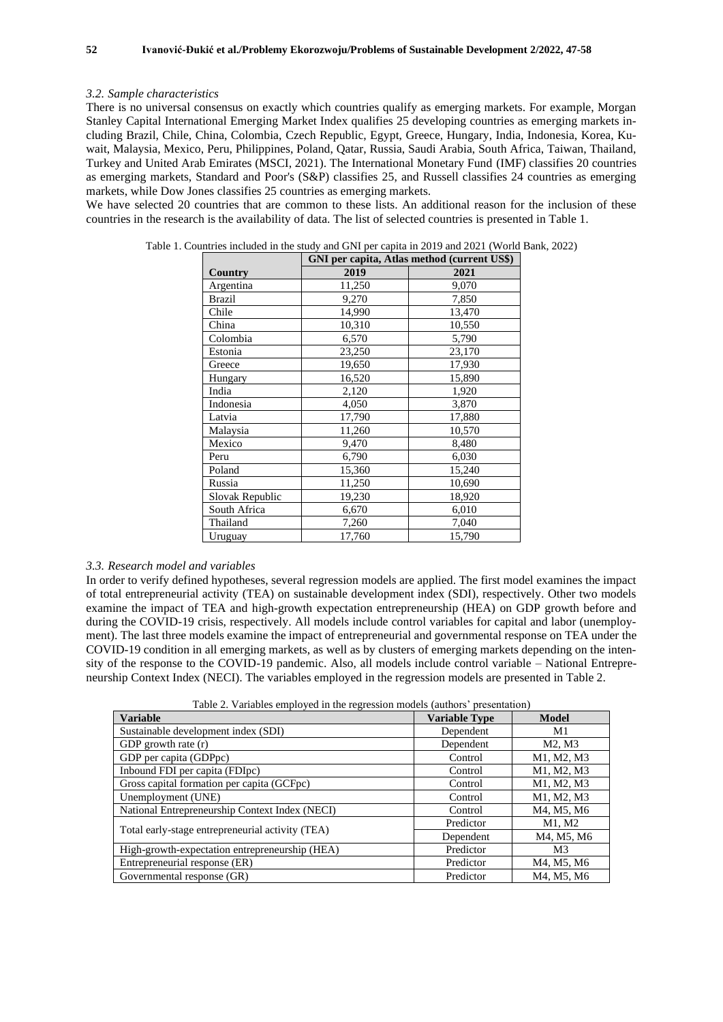#### *3.2. Sample characteristics*

There is no universal consensus on exactly which countries qualify as emerging markets. For example, Morgan Stanley Capital International Emerging Market Index qualifies 25 developing countries as emerging markets including Brazil, Chile, China, Colombia, Czech Republic, Egypt, Greece, Hungary, India, Indonesia, Korea, Kuwait, Malaysia, Mexico, Peru, Philippines, Poland, Qatar, Russia, Saudi Arabia, South Africa, Taiwan, Thailand, Turkey and United Arab Emirates (MSCI, 2021). The International Monetary Fund (IMF) classifies 20 countries as emerging markets, Standard and Poor's (S&P) classifies 25, and Russell classifies 24 countries as emerging markets, while Dow Jones classifies 25 countries as emerging markets.

We have selected 20 countries that are common to these lists. An additional reason for the inclusion of these countries in the research is the availability of data. The list of selected countries is presented in Table 1.

|                 | GNI per capita, Atlas method (current US\$) |        |  |  |
|-----------------|---------------------------------------------|--------|--|--|
| Country         | 2019                                        | 2021   |  |  |
| Argentina       | 11,250                                      | 9,070  |  |  |
| Brazil          | 9,270                                       | 7,850  |  |  |
| Chile           | 14,990                                      | 13,470 |  |  |
| China           | 10,310                                      | 10,550 |  |  |
| Colombia        | 6,570                                       | 5,790  |  |  |
| Estonia         | 23,250                                      | 23,170 |  |  |
| Greece          | 19,650                                      | 17,930 |  |  |
| Hungary         | 16,520                                      | 15,890 |  |  |
| India           | 2,120                                       | 1,920  |  |  |
| Indonesia       | 4,050                                       | 3,870  |  |  |
| Latvia          | 17,790                                      | 17,880 |  |  |
| Malaysia        | 11,260                                      | 10,570 |  |  |
| Mexico          | 9,470                                       | 8,480  |  |  |
| Peru            | 6,790                                       | 6,030  |  |  |
| Poland          | 15,360                                      | 15,240 |  |  |
| Russia          | 11,250                                      | 10,690 |  |  |
| Slovak Republic | 19,230                                      | 18,920 |  |  |
| South Africa    | 6,670                                       | 6,010  |  |  |
| Thailand        | 7,260                                       | 7,040  |  |  |
| Uruguay         | 17,760                                      | 15,790 |  |  |

Table 1. Countries included in the study and GNI per capita in 2019 and 2021 (World Bank, 2022)

#### *3.3. Research model and variables*

In order to verify defined hypotheses, several regression models are applied. The first model examines the impact of total entrepreneurial activity (TEA) on sustainable development index (SDI), respectively. Other two models examine the impact of TEA and high-growth expectation entrepreneurship (HEA) on GDP growth before and during the COVID-19 crisis, respectively. All models include control variables for capital and labor (unemployment). The last three models examine the impact of entrepreneurial and governmental response on TEA under the COVID-19 condition in all emerging markets, as well as by clusters of emerging markets depending on the intensity of the response to the COVID-19 pandemic. Also, all models include control variable – National Entrepreneurship Context Index (NECI). The variables employed in the regression models are presented in Table 2.

|  |  |  |  |  |  | Table 2. Variables employed in the regression models (authors' presentation) |
|--|--|--|--|--|--|------------------------------------------------------------------------------|
|--|--|--|--|--|--|------------------------------------------------------------------------------|

| <b>Variable</b>                                  | <b>Variable Type</b> | Model          |
|--------------------------------------------------|----------------------|----------------|
| Sustainable development index (SDI)              | Dependent            | M1             |
| GDP growth rate $(r)$                            | Dependent            | M2, M3         |
| GDP per capita (GDPpc)                           | Control              | M1, M2, M3     |
| Inbound FDI per capita (FDIpc)                   | Control              | M1, M2, M3     |
| Gross capital formation per capita (GCFpc)       | Control              | M1, M2, M3     |
| Unemployment (UNE)                               | Control              | M1, M2, M3     |
| National Entrepreneurship Context Index (NECI)   | Control              | M4, M5, M6     |
|                                                  | Predictor            | M1, M2         |
| Total early-stage entrepreneurial activity (TEA) | Dependent            | M4, M5, M6     |
| High-growth-expectation entrepreneurship (HEA)   | Predictor            | M <sub>3</sub> |
| Entrepreneurial response (ER)                    | Predictor            | M4, M5, M6     |
| Governmental response (GR)                       | Predictor            | M4, M5, M6     |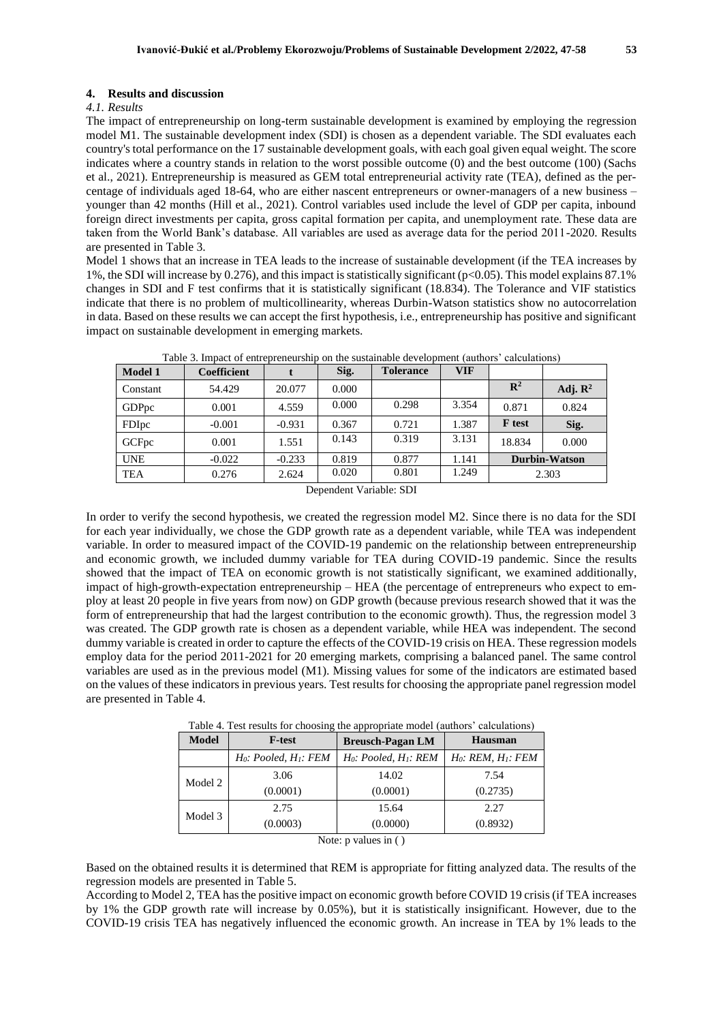#### **4. Results and discussion**

#### *4.1. Results*

The impact of entrepreneurship on long-term sustainable development is examined by employing the regression model M1. The sustainable development index (SDI) is chosen as a dependent variable. The SDI evaluates each country's total performance on the 17 sustainable development goals, with each goal given equal weight. The score indicates where a country stands in relation to the worst possible outcome (0) and the best outcome (100) (Sachs et al., 2021). Entrepreneurship is measured as GEM total entrepreneurial activity rate (TEA), defined as the percentage of individuals aged 18-64, who are either nascent entrepreneurs or owner-managers of a new business – younger than 42 months (Hill et al., 2021). Control variables used include the level of GDP per capita, inbound foreign direct investments per capita, gross capital formation per capita, and unemployment rate. These data are taken from the World Bank's database. All variables are used as average data for the period 2011-2020. Results are presented in Table 3.

Model 1 shows that an increase in TEA leads to the increase of sustainable development (if the TEA increases by 1%, the SDI will increase by 0.276), and this impact is statistically significant (p<0.05). This model explains 87.1% changes in SDI and F test confirms that it is statistically significant (18.834). The Tolerance and VIF statistics indicate that there is no problem of multicollinearity, whereas Durbin-Watson statistics show no autocorrelation in data. Based on these results we can accept the first hypothesis, i.e., entrepreneurship has positive and significant impact on sustainable development in emerging markets.

| <b>Model 1</b>    | <b>Coefficient</b> |          | Sig.  | <b>Tolerance</b> | VIF   |                |                      |
|-------------------|--------------------|----------|-------|------------------|-------|----------------|----------------------|
| Constant          | 54.429             | 20.077   | 0.000 |                  |       | $\mathbb{R}^2$ | Adj. $\mathbb{R}^2$  |
| GDPpc             | 0.001              | 4.559    | 0.000 | 0.298            | 3.354 | 0.871          | 0.824                |
| FDIpc             | $-0.001$           | $-0.931$ | 0.367 | 0.721            | 1.387 | <b>F</b> test  | Sig.                 |
| GCF <sub>pc</sub> | 0.001              | 1.551    | 0.143 | 0.319            | 3.131 | 18.834         | 0.000                |
| <b>UNE</b>        | $-0.022$           | $-0.233$ | 0.819 | 0.877            | 1.141 |                | <b>Durbin-Watson</b> |
| TEA               | 0.276              | 2.624    | 0.020 | 0.801            | 1.249 |                | 2.303                |

Table 3. Impact of entrepreneurship on the sustainable development (authors' calculations)

In order to verify the second hypothesis, we created the regression model M2. Since there is no data for the SDI for each year individually, we chose the GDP growth rate as a dependent variable, while TEA was independent variable. In order to measured impact of the COVID-19 pandemic on the relationship between entrepreneurship and economic growth, we included dummy variable for TEA during COVID-19 pandemic. Since the results showed that the impact of TEA on economic growth is not statistically significant, we examined additionally, impact of high-growth-expectation entrepreneurship – HEA (the percentage of entrepreneurs who expect to employ at least 20 people in five years from now) on GDP growth (because previous research showed that it was the form of entrepreneurship that had the largest contribution to the economic growth). Thus, the regression model 3 was created. The GDP growth rate is chosen as a dependent variable, while HEA was independent. The second dummy variable is created in order to capture the effects of the COVID-19 crisis on HEA. These regression models employ data for the period 2011-2021 for 20 emerging markets, comprising a balanced panel. The same control variables are used as in the previous model (M1). Missing values for some of the indicators are estimated based on the values of these indicators in previous years. Test results for choosing the appropriate panel regression model are presented in Table 4.

|  |  |  |  | Table 4. Test results for choosing the appropriate model (authors' calculations) |  |
|--|--|--|--|----------------------------------------------------------------------------------|--|
|  |  |  |  |                                                                                  |  |

| <b>Model</b>                        | <b>F-test</b>               | <b>Breusch-Pagan LM</b>     | <b>Hausman</b>           |  |  |
|-------------------------------------|-----------------------------|-----------------------------|--------------------------|--|--|
|                                     | $H_0$ : Pooled, $H_1$ : FEM | $H_0$ : Pooled, $H_1$ : REM | $H_0$ : REM, $H_1$ : FEM |  |  |
| Model 2                             | 3.06                        | 14.02                       | 7.54                     |  |  |
|                                     | (0.0001)                    | (0.0001)                    | (0.2735)                 |  |  |
| Model 3                             | 2.75                        | 15.64                       | 2.27                     |  |  |
|                                     | (0.0003)                    | (0.0000)                    | (0.8932)                 |  |  |
| $\cdot$ $\cdot$ $\cdot$<br>$\cdots$ |                             |                             |                          |  |  |

Note: p values in ( )

Based on the obtained results it is determined that REM is appropriate for fitting analyzed data. The results of the regression models are presented in Table 5.

According to Model 2, TEA has the positive impact on economic growth before COVID 19 crisis (if TEA increases by 1% the GDP growth rate will increase by 0.05%), but it is statistically insignificant. However, due to the COVID-19 crisis TEA has negatively influenced the economic growth. An increase in TEA by 1% leads to the

Dependent Variable: SDI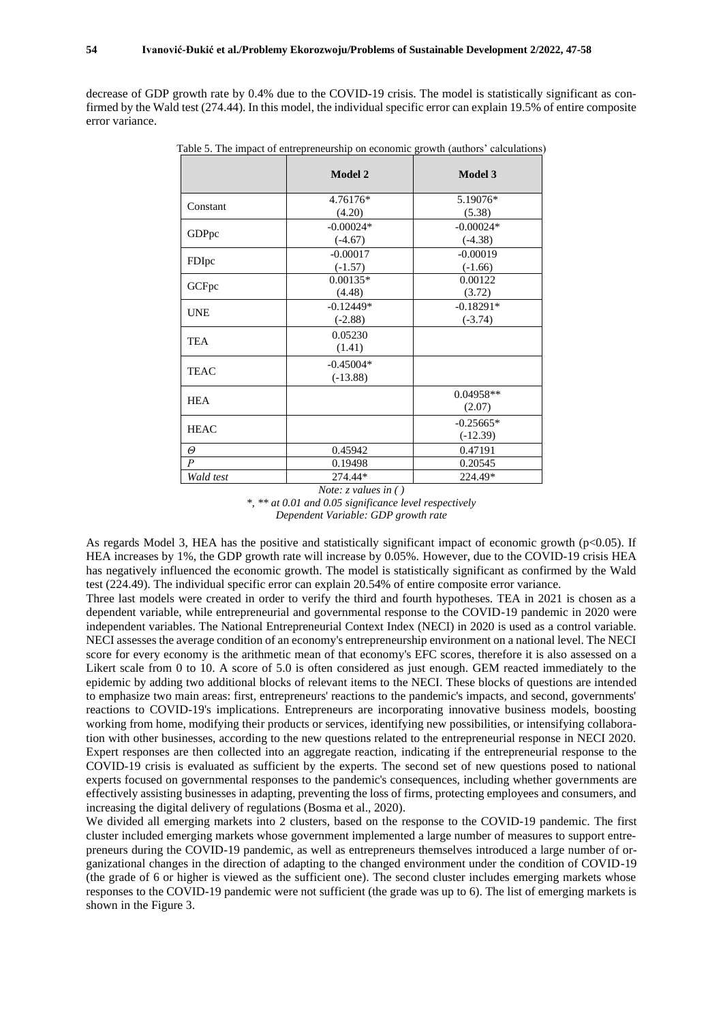decrease of GDP growth rate by 0.4% due to the COVID-19 crisis. The model is statistically significant as confirmed by the Wald test (274.44). In this model, the individual specific error can explain 19.5% of entire composite error variance.

|                  | <b>Model 2</b>            | Model 3                   |
|------------------|---------------------------|---------------------------|
| Constant         | 4.76176*<br>(4.20)        | 5.19076*<br>(5.38)        |
| GDPpc            | $-0.00024*$<br>$(-4.67)$  | $-0.00024*$<br>$(-4.38)$  |
| FDIpc            | $-0.00017$<br>$(-1.57)$   | $-0.00019$<br>$(-1.66)$   |
| GCFpc            | $0.00135*$<br>(4.48)      | 0.00122<br>(3.72)         |
| <b>UNE</b>       | $-0.12449*$<br>$(-2.88)$  | $-0.18291*$<br>$(-3.74)$  |
| <b>TEA</b>       | 0.05230<br>(1.41)         |                           |
| <b>TEAC</b>      | $-0.45004*$<br>$(-13.88)$ |                           |
| <b>HEA</b>       |                           | $0.04958**$<br>(2.07)     |
| <b>HEAC</b>      |                           | $-0.25665*$<br>$(-12.39)$ |
| $\Theta$         | 0.45942                   | 0.47191                   |
| $\boldsymbol{P}$ | 0.19498                   | 0.20545                   |
| Wald test        | 274.44*                   | 224.49*                   |

Table 5. The impact of entrepreneurship on economic growth (authors' calculations)

*Note: z values in ( )*

*\*, \*\* at 0.01 and 0.05 significance level respectively Dependent Variable: GDP growth rate*

As regards Model 3, HEA has the positive and statistically significant impact of economic growth (p<0.05). If HEA increases by 1%, the GDP growth rate will increase by 0.05%. However, due to the COVID-19 crisis HEA has negatively influenced the economic growth. The model is statistically significant as confirmed by the Wald test (224.49). The individual specific error can explain 20.54% of entire composite error variance.

Three last models were created in order to verify the third and fourth hypotheses. TEA in 2021 is chosen as a dependent variable, while entrepreneurial and governmental response to the COVID-19 pandemic in 2020 were independent variables. The National Entrepreneurial Context Index (NECI) in 2020 is used as a control variable. NECI assesses the average condition of an economy's entrepreneurship environment on a national level. The NECI score for every economy is the arithmetic mean of that economy's EFC scores, therefore it is also assessed on a Likert scale from 0 to 10. A score of 5.0 is often considered as just enough. GEM reacted immediately to the epidemic by adding two additional blocks of relevant items to the NECI. These blocks of questions are intended to emphasize two main areas: first, entrepreneurs' reactions to the pandemic's impacts, and second, governments' reactions to COVID-19's implications. Entrepreneurs are incorporating innovative business models, boosting working from home, modifying their products or services, identifying new possibilities, or intensifying collaboration with other businesses, according to the new questions related to the entrepreneurial response in NECI 2020. Expert responses are then collected into an aggregate reaction, indicating if the entrepreneurial response to the COVID-19 crisis is evaluated as sufficient by the experts. The second set of new questions posed to national experts focused on governmental responses to the pandemic's consequences, including whether governments are effectively assisting businesses in adapting, preventing the loss of firms, protecting employees and consumers, and increasing the digital delivery of regulations (Bosma et al., 2020).

We divided all emerging markets into 2 clusters, based on the response to the COVID-19 pandemic. The first cluster included emerging markets whose government implemented a large number of measures to support entrepreneurs during the COVID-19 pandemic, as well as entrepreneurs themselves introduced a large number of organizational changes in the direction of adapting to the changed environment under the condition of COVID-19 (the grade of 6 or higher is viewed as the sufficient one). The second cluster includes emerging markets whose responses to the COVID-19 pandemic were not sufficient (the grade was up to 6). The list of emerging markets is shown in the Figure 3.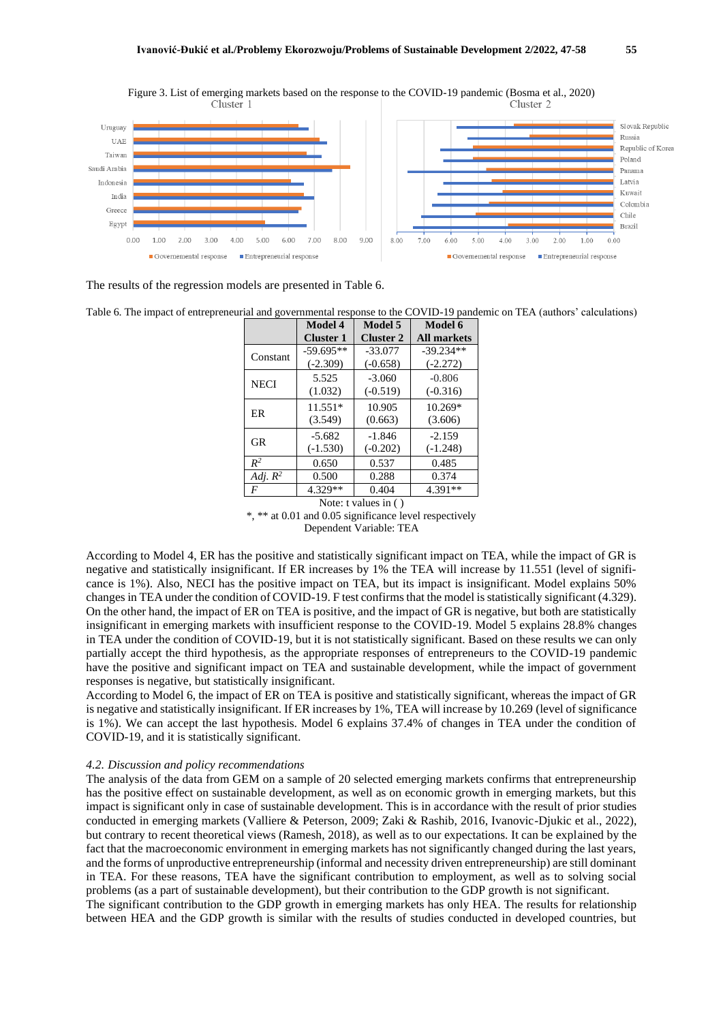

Figure 3. List of emerging markets based on the response to the COVID-19 pandemic (Bosma et al., 2020)

The results of the regression models are presented in Table 6.

Table 6. The impact of entrepreneurial and governmental response to the COVID-19 pandemic on TEA (authors' calculations)

|                         | Model 4          | Model 5          | Model 6            |  |
|-------------------------|------------------|------------------|--------------------|--|
|                         | <b>Cluster 1</b> | <b>Cluster 2</b> | <b>All markets</b> |  |
| Constant                | $-59.695**$      | $-33.077$        | $-39.234**$        |  |
|                         | $(-2.309)$       | $(-0.658)$       | $(-2.272)$         |  |
| <b>NECI</b>             | 5.525            | $-3.060$         | $-0.806$           |  |
|                         | (1.032)          | $(-0.519)$       | $(-0.316)$         |  |
| ER                      | $11.551*$        | 10.905           | $10.269*$          |  |
|                         | (3.549)          | (0.663)          | (3.606)            |  |
| <b>GR</b>               | $-5.682$         | $-1.846$         | $-2.159$           |  |
|                         | $(-1.530)$       | $(-0.202)$       | $(-1.248)$         |  |
| $R^2$                   | 0.650            | 0.537            | 0.485              |  |
| Adj. $R^2$              | 0.500            | 0.288            | 0.374              |  |
| F                       | 4.329**          | 0.404            | 4.391**            |  |
| Note: t values in $( )$ |                  |                  |                    |  |

\*, \*\* at 0.01 and 0.05 significance level respectively Dependent Variable: TEA

According to Model 4, ER has the positive and statistically significant impact on TEA, while the impact of GR is negative and statistically insignificant. If ER increases by 1% the TEA will increase by 11.551 (level of significance is 1%). Also, NECI has the positive impact on TEA, but its impact is insignificant. Model explains 50% changes in TEA under the condition of COVID-19. F test confirms that the model is statistically significant (4.329). On the other hand, the impact of ER on TEA is positive, and the impact of GR is negative, but both are statistically insignificant in emerging markets with insufficient response to the COVID-19. Model 5 explains 28.8% changes in TEA under the condition of COVID-19, but it is not statistically significant. Based on these results we can only partially accept the third hypothesis, as the appropriate responses of entrepreneurs to the COVID-19 pandemic have the positive and significant impact on TEA and sustainable development, while the impact of government responses is negative, but statistically insignificant.

According to Model 6, the impact of ER on TEA is positive and statistically significant, whereas the impact of GR is negative and statistically insignificant. If ER increases by 1%, TEA will increase by 10.269 (level of significance is 1%). We can accept the last hypothesis. Model 6 explains 37.4% of changes in TEA under the condition of COVID-19, and it is statistically significant.

#### *4.2. Discussion and policy recommendations*

The analysis of the data from GEM on a sample of 20 selected emerging markets confirms that entrepreneurship has the positive effect on sustainable development, as well as on economic growth in emerging markets, but this impact is significant only in case of sustainable development. This is in accordance with the result of prior studies conducted in emerging markets (Valliere & Peterson, 2009; Zaki & Rashib, 2016, Ivanovic-Djukic et al., 2022), but contrary to recent theoretical views (Ramesh, 2018), as well as to our expectations. It can be explained by the fact that the macroeconomic environment in emerging markets has not significantly changed during the last years, and the forms of unproductive entrepreneurship (informal and necessity driven entrepreneurship) are still dominant in TEA. For these reasons, TEA have the significant contribution to employment, as well as to solving social problems (as a part of sustainable development), but their contribution to the GDP growth is not significant.

The significant contribution to the GDP growth in emerging markets has only HEA. The results for relationship between HEA and the GDP growth is similar with the results of studies conducted in developed countries, but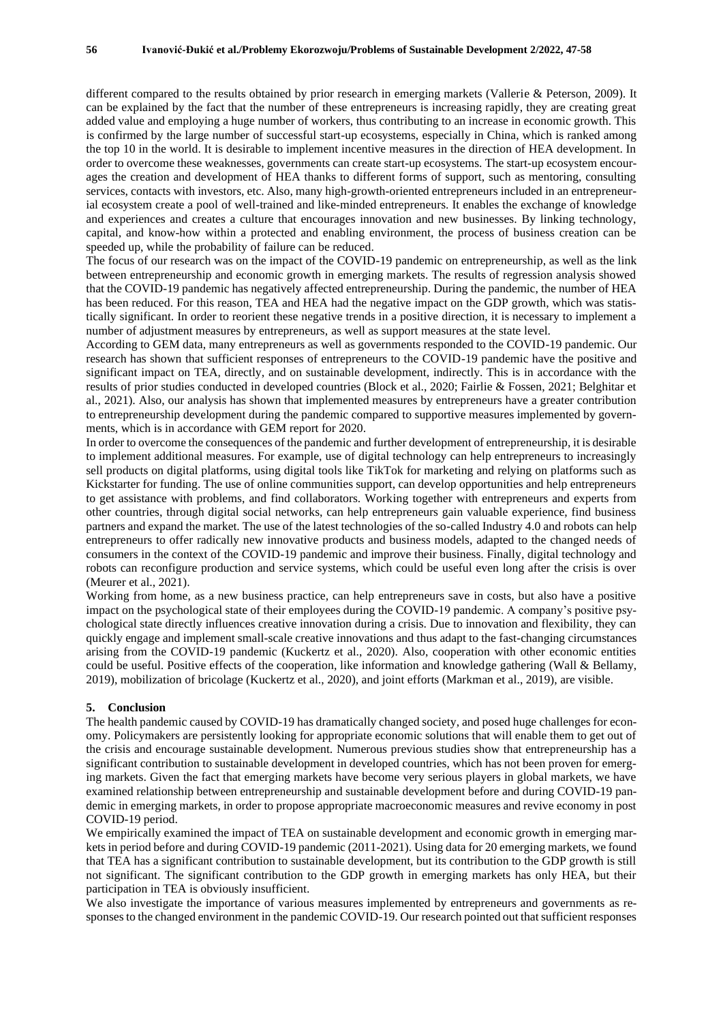different compared to the results obtained by prior research in emerging markets (Vallerie & Peterson, 2009). It can be explained by the fact that the number of these entrepreneurs is increasing rapidly, they are creating great added value and employing a huge number of workers, thus contributing to an increase in economic growth. This is confirmed by the large number of successful start-up ecosystems, especially in China, which is ranked among the top 10 in the world. It is desirable to implement incentive measures in the direction of HEA development. In order to overcome these weaknesses, governments can create start-up ecosystems. The start-up ecosystem encourages the creation and development of HEA thanks to different forms of support, such as mentoring, consulting services, contacts with investors, etc. Also, many high-growth-oriented entrepreneurs included in an entrepreneurial ecosystem create a pool of well-trained and like-minded entrepreneurs. It enables the exchange of knowledge and experiences and creates a culture that encourages innovation and new businesses. By linking technology, capital, and know-how within a protected and enabling environment, the process of business creation can be speeded up, while the probability of failure can be reduced.

The focus of our research was on the impact of the COVID-19 pandemic on entrepreneurship, as well as the link between entrepreneurship and economic growth in emerging markets. The results of regression analysis showed that the COVID-19 pandemic has negatively affected entrepreneurship. During the pandemic, the number of HEA has been reduced. For this reason, TEA and HEA had the negative impact on the GDP growth, which was statistically significant. In order to reorient these negative trends in a positive direction, it is necessary to implement a number of adjustment measures by entrepreneurs, as well as support measures at the state level.

According to GEM data, many entrepreneurs as well as governments responded to the COVID-19 pandemic. Our research has shown that sufficient responses of entrepreneurs to the COVID-19 pandemic have the positive and significant impact on TEA, directly, and on sustainable development, indirectly. This is in accordance with the results of prior studies conducted in developed countries (Block et al., 2020; Fairlie & Fossen, 2021; Belghitar et al., 2021). Also, our analysis has shown that implemented measures by entrepreneurs have a greater contribution to entrepreneurship development during the pandemic compared to supportive measures implemented by governments, which is in accordance with GEM report for 2020.

In order to overcome the consequences of the pandemic and further development of entrepreneurship, it is desirable to implement additional measures. For example, use of digital technology can help entrepreneurs to increasingly sell products on digital platforms, using digital tools like TikTok for marketing and relying on platforms such as Kickstarter for funding. The use of online communities support, can develop opportunities and help entrepreneurs to get assistance with problems, and find collaborators. Working together with entrepreneurs and experts from other countries, through digital social networks, can help entrepreneurs gain valuable experience, find business partners and expand the market. The use of the latest technologies of the so-called Industry 4.0 and robots can help entrepreneurs to offer radically new innovative products and business models, adapted to the changed needs of consumers in the context of the COVID-19 pandemic and improve their business. Finally, digital technology and robots can reconfigure production and service systems, which could be useful even long after the crisis is over (Meurer et al., 2021).

Working from home, as a new business practice, can help entrepreneurs save in costs, but also have a positive impact on the psychological state of their employees during the COVID-19 pandemic. A company's positive psychological state directly influences creative innovation during a crisis. Due to innovation and flexibility, they can quickly engage and implement small-scale creative innovations and thus adapt to the fast-changing circumstances arising from the COVID-19 pandemic (Kuckertz et al., 2020). Also, cooperation with other economic entities could be useful. Positive effects of the cooperation, like information and knowledge gathering (Wall & Bellamy, 2019), mobilization of bricolage (Kuckertz et al., 2020), and joint efforts (Markman et al., 2019), are visible.

#### **5. Conclusion**

The health pandemic caused by COVID-19 has dramatically changed society, and posed huge challenges for economy. Policymakers are persistently looking for appropriate economic solutions that will enable them to get out of the crisis and encourage sustainable development. Numerous previous studies show that entrepreneurship has a significant contribution to sustainable development in developed countries, which has not been proven for emerging markets. Given the fact that emerging markets have become very serious players in global markets, we have examined relationship between entrepreneurship and sustainable development before and during COVID-19 pandemic in emerging markets, in order to propose appropriate macroeconomic measures and revive economy in post COVID-19 period.

We empirically examined the impact of TEA on sustainable development and economic growth in emerging markets in period before and during COVID-19 pandemic (2011-2021). Using data for 20 emerging markets, we found that TEA has a significant contribution to sustainable development, but its contribution to the GDP growth is still not significant. The significant contribution to the GDP growth in emerging markets has only HEA, but their participation in TEA is obviously insufficient.

We also investigate the importance of various measures implemented by entrepreneurs and governments as responses to the changed environment in the pandemic COVID-19. Our research pointed out that sufficient responses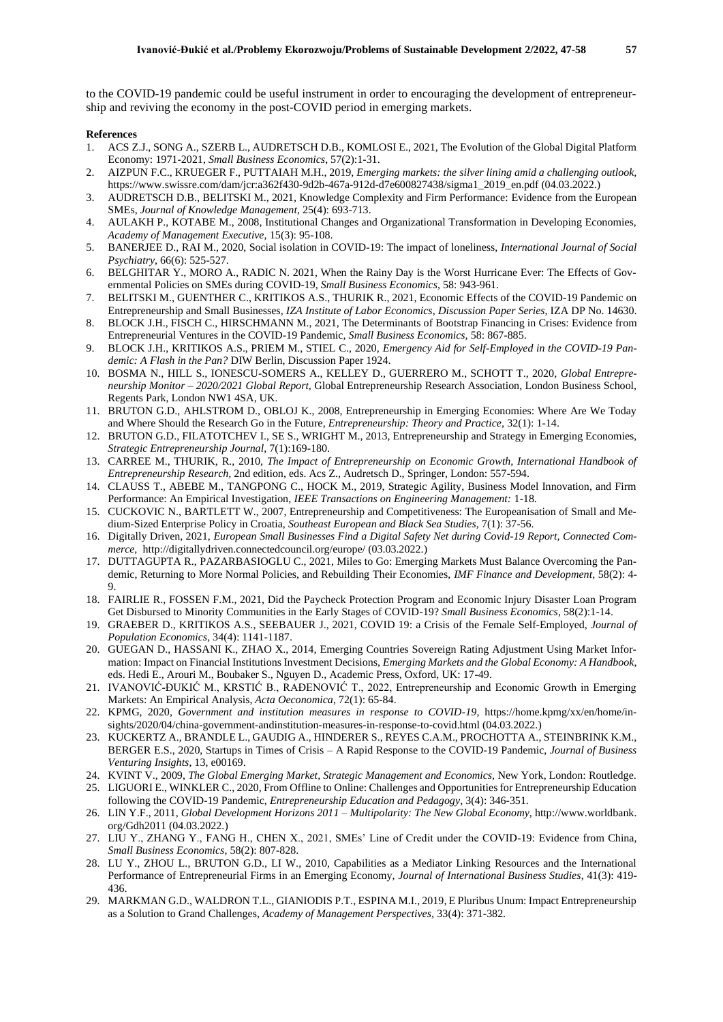to the COVID-19 pandemic could be useful instrument in order to encouraging the development of entrepreneurship and reviving the economy in the post-COVID period in emerging markets.

#### **References**

- 1. ACS Z.J., SONG A., SZERB L., AUDRETSCH D.B., KOMLOSI E., 2021, The Evolution of the Global Digital Platform Economy: 1971-2021, *Small Business Economics*, 57(2):1-31.
- 2. AIZPUN F.C., KRUEGER F., PUTTAIAH M.H., 2019, *Emerging markets: the silver lining amid a challenging outlook,* https://www.swissre.com/dam/jcr:a362f430-9d2b-467a-912d-d7e600827438/sigma1\_2019\_en.pdf (04.03.2022.)
- 3. AUDRETSCH D.B., BELITSKI M., 2021, Knowledge Complexity and Firm Performance: Evidence from the European SMEs, *Journal of Knowledge Management*, 25(4): 693-713.
- 4. AULAKH P., KOTABE M., 2008, Institutional Changes and Organizational Transformation in Developing Economies, *Academy of Management Executive,* 15(3): 95-108.
- 5. BANERJEE D., RAI M., 2020, Social isolation in COVID-19: The impact of loneliness, *International Journal of Social Psychiatry*, 66(6): 525-527.
- 6. BELGHITAR Y., MORO A., RADIC N. 2021, When the Rainy Day is the Worst Hurricane Ever: The Effects of Governmental Policies on SMEs during COVID-19, *Small Business Economics*, 58: 943-961.
- 7. BELITSKI M., GUENTHER C., KRITIKOS A.S., THURIK R., 2021, Economic Effects of the COVID-19 Pandemic on Entrepreneurship and Small Businesses*, IZA Institute of Labor Economics*, *Discussion Paper Series,* IZA DP No. 14630.
- 8. BLOCK J.H., FISCH C., HIRSCHMANN M., 2021, The Determinants of Bootstrap Financing in Crises: Evidence from Entrepreneurial Ventures in the COVID-19 Pandemic, *Small Business Economics,* 58: 867-885.
- 9. BLOCK J.H., KRITIKOS A.S., PRIEM M., STIEL C., 2020, *Emergency Aid for Self-Employed in the COVID-19 Pandemic: A Flash in the Pan?* DIW Berlin, Discussion Paper 1924.
- 10. BOSMA N., HILL S., IONESCU-SOMERS A., KELLEY D., GUERRERO M., SCHOTT T., 2020, *Global Entrepreneurship Monitor – 2020/2021 Global Report,* Global Entrepreneurship Research Association, London Business School, Regents Park, London NW1 4SA, UK.
- 11. BRUTON G.D., AHLSTROM D., OBLOJ K., 2008, Entrepreneurship in Emerging Economies: Where Are We Today and Where Should the Research Go in the Future, *Entrepreneurship: Theory and Practice,* 32(1): 1-14.
- 12. BRUTON G.D., FILATOTCHEV I., SE S., WRIGHT M., 2013, Entrepreneurship and Strategy in Emerging Economies, *Strategic Entrepreneurship Journal*, 7(1):169-180.
- 13. CARREE M., THURIK, R., 2010, *The Impact of Entrepreneurship on Economic Growth, International Handbook of Entrepreneurship Research,* 2nd edition, eds. Acs Z., Audretsch D., Springer, London: 557-594.
- 14. CLAUSS T., ABEBE M., TANGPONG C., HOCK M., 2019, Strategic Agility, Business Model Innovation, and Firm Performance: An Empirical Investigation, *IEEE Transactions on Engineering Management:* 1-18.
- 15. CUCKOVIC N., BARTLETT W., 2007, Entrepreneurship and Competitiveness: The Europeanisation of Small and Medium-Sized Enterprise Policy in Croatia, *Southeast European and Black Sea Studies,* 7(1): 37-56.
- 16. Digitally Driven, 2021, *European Small Businesses Find a Digital Safety Net during Covid-19 Report, Connected Commerce,* http://digitallydriven.connectedcouncil.org/europe/ (03.03.2022.)
- 17. DUTTAGUPTA R., PAZARBASIOGLU C., 2021, Miles to Go: Emerging Markets Must Balance Overcoming the Pandemic, Returning to More Normal Policies, and Rebuilding Their Economies, *IMF Finance and Development*, 58(2): 4- 9.
- 18. FAIRLIE R., FOSSEN F.M., 2021, Did the Paycheck Protection Program and Economic Injury Disaster Loan Program Get Disbursed to Minority Communities in the Early Stages of COVID-19? *Small Business Economics*, 58(2):1-14.
- 19. GRAEBER D., KRITIKOS A.S., SEEBAUER J., 2021, COVID 19: a Crisis of the Female Self-Employed, *Journal of Population Economics*, 34(4): 1141-1187.
- 20. GUEGAN D., HASSANI K., ZHAO X., 2014, Emerging Countries Sovereign Rating Adjustment Using Market Information: Impact on Financial Institutions Investment Decisions, *Emerging Markets and the Global Economy: A Handbook*, eds. Hedi E., Arouri M., Boubaker S., Nguyen D., Academic Press, Oxford, UK: 17-49.
- 21. IVANOVIĆ-ĐUKIĆ M., KRSTIĆ B., RAĐENOVIĆ T., 2022, Entrepreneurship and Economic Growth in Emerging Markets: An Empirical Analysis, *Acta Oeconomica*, 72(1): 65-84.
- 22. KPMG, 2020, *Government and institution measures in response to COVID-19*, https://home.kpmg/xx/en/home/insights/2020/04/china-government-andinstitution-measures-in-response-to-covid.html (04.03.2022.)
- 23. KUCKERTZ A., BRANDLE L., GAUDIG A., HINDERER S., REYES C.A.M., PROCHOTTA A., STEINBRINK K.M., BERGER E.S., 2020, Startups in Times of Crisis – A Rapid Response to the COVID-19 Pandemic, *Journal of Business Venturing Insights*, 13, e00169.
- 24. KVINT V., 2009, *The Global Emerging Market, Strategic Management and Economics,* New York, London: Routledge.
- 25. LIGUORI E., WINKLER C., 2020, From Offline to Online: Challenges and Opportunities for Entrepreneurship Education following the COVID-19 Pandemic, *Entrepreneurship Education and Pedagogy*, 3(4): 346-351.
- 26. LIN Y.F., 2011, *Global Development Horizons 2011 – Multipolarity: The New Global Economy,* http://www.worldbank. org/Gdh2011 (04.03.2022.)
- 27. LIU Y., ZHANG Y., FANG H., CHEN X., 2021, SMEs' Line of Credit under the COVID-19: Evidence from China, *Small Business Economics*, 58(2): 807-828.
- 28. LU Y., ZHOU L., BRUTON G.D., LI W., 2010, Capabilities as a Mediator Linking Resources and the International Performance of Entrepreneurial Firms in an Emerging Economy, *Journal of International Business Studies*, 41(3): 419- 436.
- 29. MARKMAN G.D., WALDRON T.L., GIANIODIS P.T., ESPINA M.I., 2019, E Pluribus Unum: Impact Entrepreneurship as a Solution to Grand Challenges, *Academy of Management Perspectives,* 33(4): 371-382.